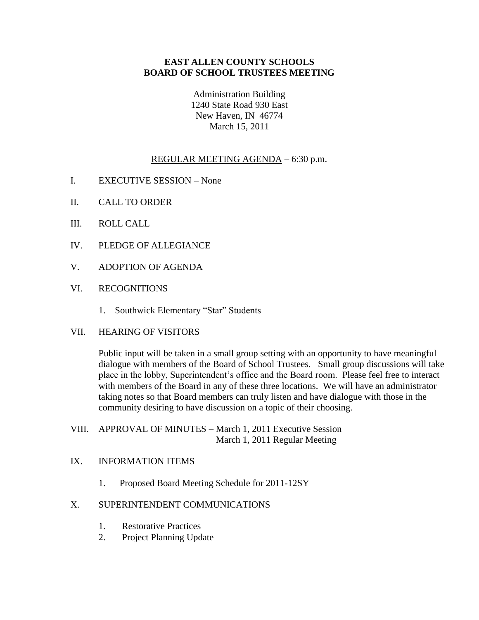## **EAST ALLEN COUNTY SCHOOLS BOARD OF SCHOOL TRUSTEES MEETING**

Administration Building 1240 State Road 930 East New Haven, IN 46774 March 15, 2011

## REGULAR MEETING AGENDA – 6:30 p.m.

- I. EXECUTIVE SESSION None
- II. CALL TO ORDER
- III. ROLL CALL
- IV. PLEDGE OF ALLEGIANCE
- V. ADOPTION OF AGENDA
- VI. RECOGNITIONS
	- 1. Southwick Elementary "Star" Students
- VII. HEARING OF VISITORS

Public input will be taken in a small group setting with an opportunity to have meaningful dialogue with members of the Board of School Trustees. Small group discussions will take place in the lobby, Superintendent's office and the Board room. Please feel free to interact with members of the Board in any of these three locations. We will have an administrator taking notes so that Board members can truly listen and have dialogue with those in the community desiring to have discussion on a topic of their choosing.

- VIII. APPROVAL OF MINUTES March 1, 2011 Executive Session March 1, 2011 Regular Meeting
- IX. INFORMATION ITEMS
	- 1. Proposed Board Meeting Schedule for 2011-12SY

## X. SUPERINTENDENT COMMUNICATIONS

- 1. Restorative Practices
- 2. Project Planning Update